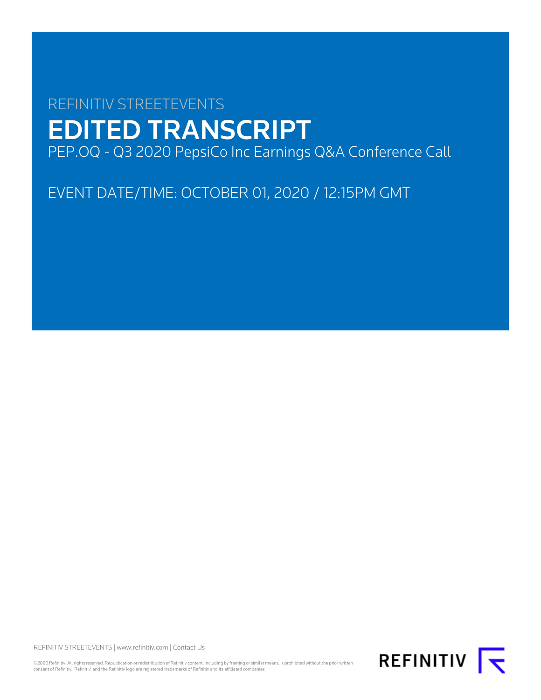# REFINITIV STREETEVENTS EDITED TRANSCRIPT PEP.OQ - Q3 2020 PepsiCo Inc Earnings Q&A Conference Call

EVENT DATE/TIME: OCTOBER 01, 2020 / 12:15PM GMT

REFINITIV STREETEVENTS | [www.refinitiv.com](https://www.refinitiv.com/) | [Contact Us](https://www.refinitiv.com/en/contact-us)

©2020 Refinitiv. All rights reserved. Republication or redistribution of Refinitiv content, including by framing or similar means, is prohibited without the prior written consent of Refinitiv. 'Refinitiv' and the Refinitiv logo are registered trademarks of Refinitiv and its affiliated companies.

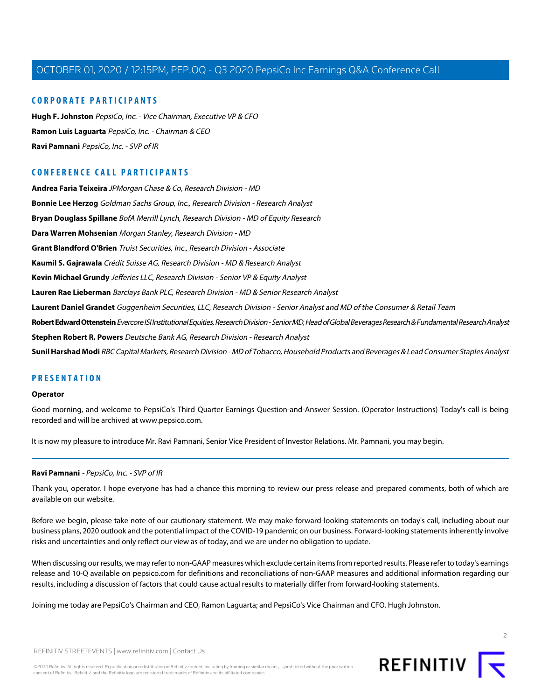# **CORPORATE PARTICIPANTS**

**[Hugh F. Johnston](#page-2-0)** PepsiCo, Inc. - Vice Chairman, Executive VP & CFO **[Ramon Luis Laguarta](#page-2-1)** PepsiCo, Inc. - Chairman & CEO **[Ravi Pamnani](#page-1-0)** PepsiCo, Inc. - SVP of IR

# **CONFERENCE CALL PARTICIPANTS**

**[Andrea Faria Teixeira](#page-3-0)** JPMorgan Chase & Co, Research Division - MD **[Bonnie Lee Herzog](#page-3-1)** Goldman Sachs Group, Inc., Research Division - Research Analyst **[Bryan Douglass Spillane](#page-4-0)** BofA Merrill Lynch, Research Division - MD of Equity Research **[Dara Warren Mohsenian](#page-2-2)** Morgan Stanley, Research Division - MD **[Grant Blandford O'Brien](#page-10-0)** Truist Securities, Inc., Research Division - Associate **[Kaumil S. Gajrawala](#page-7-0)** Crédit Suisse AG, Research Division - MD & Research Analyst **[Kevin Michael Grundy](#page-9-0)** Jefferies LLC, Research Division - Senior VP & Equity Analyst **[Lauren Rae Lieberman](#page-6-0)** Barclays Bank PLC, Research Division - MD & Senior Research Analyst **[Laurent Daniel Grandet](#page-10-1)** Guggenheim Securities, LLC, Research Division - Senior Analyst and MD of the Consumer & Retail Team **[Robert Edward Ottenstein](#page-7-1)** Evercore ISI Institutional Equities, Research Division - Senior MD, Head of Global Beverages Research & Fundamental Research Analyst **[Stephen Robert R. Powers](#page-8-0)** Deutsche Bank AG, Research Division - Research Analyst **[Sunil Harshad Modi](#page-5-0)** RBC Capital Markets, Research Division - MD of Tobacco, Household Products and Beverages & Lead Consumer Staples Analyst

# **PRESENTATION**

#### **Operator**

Good morning, and welcome to PepsiCo's Third Quarter Earnings Question-and-Answer Session. (Operator Instructions) Today's call is being recorded and will be archived at www.pepsico.com.

<span id="page-1-0"></span>It is now my pleasure to introduce Mr. Ravi Pamnani, Senior Vice President of Investor Relations. Mr. Pamnani, you may begin.

# **Ravi Pamnani** - PepsiCo, Inc. - SVP of IR

Thank you, operator. I hope everyone has had a chance this morning to review our press release and prepared comments, both of which are available on our website.

Before we begin, please take note of our cautionary statement. We may make forward-looking statements on today's call, including about our business plans, 2020 outlook and the potential impact of the COVID-19 pandemic on our business. Forward-looking statements inherently involve risks and uncertainties and only reflect our view as of today, and we are under no obligation to update.

When discussing our results, we may refer to non-GAAP measures which exclude certain items from reported results. Please refer to today's earnings release and 10-Q available on pepsico.com for definitions and reconciliations of non-GAAP measures and additional information regarding our results, including a discussion of factors that could cause actual results to materially differ from forward-looking statements.

Joining me today are PepsiCo's Chairman and CEO, Ramon Laguarta; and PepsiCo's Vice Chairman and CFO, Hugh Johnston.

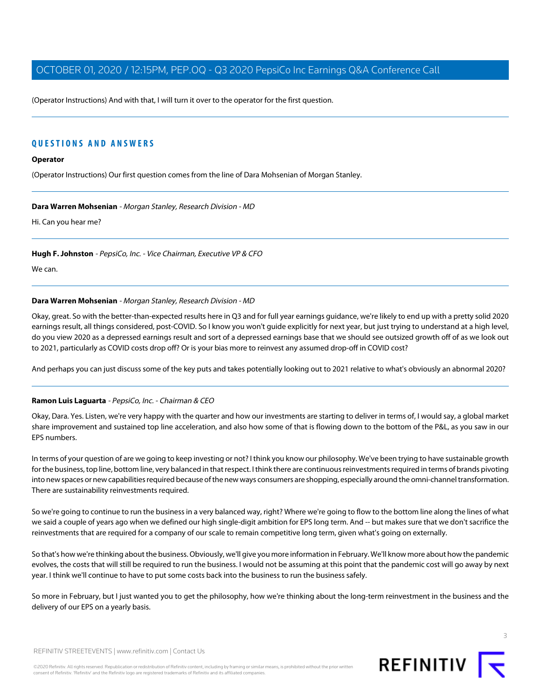(Operator Instructions) And with that, I will turn it over to the operator for the first question.

# **QUESTIONS AND ANSWERS**

# **Operator**

<span id="page-2-2"></span>(Operator Instructions) Our first question comes from the line of Dara Mohsenian of Morgan Stanley.

#### **Dara Warren Mohsenian** - Morgan Stanley, Research Division - MD

<span id="page-2-0"></span>Hi. Can you hear me?

**Hugh F. Johnston** - PepsiCo, Inc. - Vice Chairman, Executive VP & CFO

We can.

## **Dara Warren Mohsenian** - Morgan Stanley, Research Division - MD

Okay, great. So with the better-than-expected results here in Q3 and for full year earnings guidance, we're likely to end up with a pretty solid 2020 earnings result, all things considered, post-COVID. So I know you won't guide explicitly for next year, but just trying to understand at a high level, do you view 2020 as a depressed earnings result and sort of a depressed earnings base that we should see outsized growth off of as we look out to 2021, particularly as COVID costs drop off? Or is your bias more to reinvest any assumed drop-off in COVID cost?

<span id="page-2-1"></span>And perhaps you can just discuss some of the key puts and takes potentially looking out to 2021 relative to what's obviously an abnormal 2020?

#### **Ramon Luis Laguarta** - PepsiCo, Inc. - Chairman & CEO

Okay, Dara. Yes. Listen, we're very happy with the quarter and how our investments are starting to deliver in terms of, I would say, a global market share improvement and sustained top line acceleration, and also how some of that is flowing down to the bottom of the P&L, as you saw in our EPS numbers.

In terms of your question of are we going to keep investing or not? I think you know our philosophy. We've been trying to have sustainable growth for the business, top line, bottom line, very balanced in that respect. I think there are continuous reinvestments required in terms of brands pivoting into new spaces or new capabilities required because of the new ways consumers are shopping, especially around the omni-channel transformation. There are sustainability reinvestments required.

So we're going to continue to run the business in a very balanced way, right? Where we're going to flow to the bottom line along the lines of what we said a couple of years ago when we defined our high single-digit ambition for EPS long term. And -- but makes sure that we don't sacrifice the reinvestments that are required for a company of our scale to remain competitive long term, given what's going on externally.

So that's how we're thinking about the business. Obviously, we'll give you more information in February. We'll know more about how the pandemic evolves, the costs that will still be required to run the business. I would not be assuming at this point that the pandemic cost will go away by next year. I think we'll continue to have to put some costs back into the business to run the business safely.

So more in February, but I just wanted you to get the philosophy, how we're thinking about the long-term reinvestment in the business and the delivery of our EPS on a yearly basis.

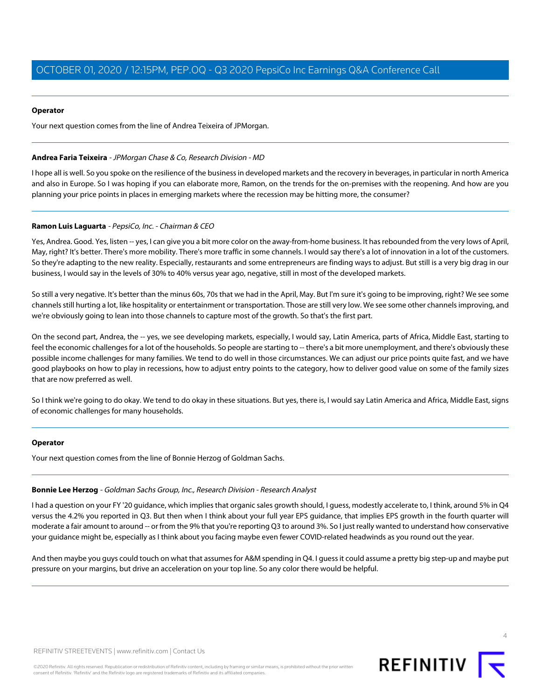#### **Operator**

<span id="page-3-0"></span>Your next question comes from the line of Andrea Teixeira of JPMorgan.

## **Andrea Faria Teixeira** - JPMorgan Chase & Co, Research Division - MD

I hope all is well. So you spoke on the resilience of the business in developed markets and the recovery in beverages, in particular in north America and also in Europe. So I was hoping if you can elaborate more, Ramon, on the trends for the on-premises with the reopening. And how are you planning your price points in places in emerging markets where the recession may be hitting more, the consumer?

# **Ramon Luis Laguarta** - PepsiCo, Inc. - Chairman & CEO

Yes, Andrea. Good. Yes, listen -- yes, I can give you a bit more color on the away-from-home business. It has rebounded from the very lows of April, May, right? It's better. There's more mobility. There's more traffic in some channels. I would say there's a lot of innovation in a lot of the customers. So they're adapting to the new reality. Especially, restaurants and some entrepreneurs are finding ways to adjust. But still is a very big drag in our business, I would say in the levels of 30% to 40% versus year ago, negative, still in most of the developed markets.

So still a very negative. It's better than the minus 60s, 70s that we had in the April, May. But I'm sure it's going to be improving, right? We see some channels still hurting a lot, like hospitality or entertainment or transportation. Those are still very low. We see some other channels improving, and we're obviously going to lean into those channels to capture most of the growth. So that's the first part.

On the second part, Andrea, the -- yes, we see developing markets, especially, I would say, Latin America, parts of Africa, Middle East, starting to feel the economic challenges for a lot of the households. So people are starting to -- there's a bit more unemployment, and there's obviously these possible income challenges for many families. We tend to do well in those circumstances. We can adjust our price points quite fast, and we have good playbooks on how to play in recessions, how to adjust entry points to the category, how to deliver good value on some of the family sizes that are now preferred as well.

So I think we're going to do okay. We tend to do okay in these situations. But yes, there is, I would say Latin America and Africa, Middle East, signs of economic challenges for many households.

#### <span id="page-3-1"></span>**Operator**

Your next question comes from the line of Bonnie Herzog of Goldman Sachs.

#### **Bonnie Lee Herzog** - Goldman Sachs Group, Inc., Research Division - Research Analyst

I had a question on your FY '20 guidance, which implies that organic sales growth should, I guess, modestly accelerate to, I think, around 5% in Q4 versus the 4.2% you reported in Q3. But then when I think about your full year EPS guidance, that implies EPS growth in the fourth quarter will moderate a fair amount to around -- or from the 9% that you're reporting Q3 to around 3%. So I just really wanted to understand how conservative your guidance might be, especially as I think about you facing maybe even fewer COVID-related headwinds as you round out the year.

And then maybe you guys could touch on what that assumes for A&M spending in Q4. I guess it could assume a pretty big step-up and maybe put pressure on your margins, but drive an acceleration on your top line. So any color there would be helpful.



4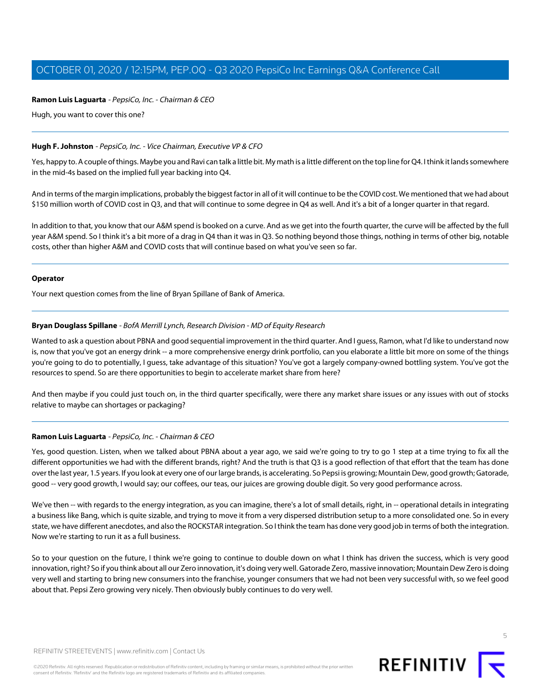# **Ramon Luis Laguarta** - PepsiCo, Inc. - Chairman & CEO

Hugh, you want to cover this one?

#### **Hugh F. Johnston** - PepsiCo, Inc. - Vice Chairman, Executive VP & CFO

Yes, happy to. A couple of things. Maybe you and Ravi can talk a little bit. My math is a little different on the top line for Q4. I think it lands somewhere in the mid-4s based on the implied full year backing into Q4.

And in terms of the margin implications, probably the biggest factor in all of it will continue to be the COVID cost. We mentioned that we had about \$150 million worth of COVID cost in Q3, and that will continue to some degree in Q4 as well. And it's a bit of a longer quarter in that regard.

In addition to that, you know that our A&M spend is booked on a curve. And as we get into the fourth quarter, the curve will be affected by the full year A&M spend. So I think it's a bit more of a drag in Q4 than it was in Q3. So nothing beyond those things, nothing in terms of other big, notable costs, other than higher A&M and COVID costs that will continue based on what you've seen so far.

#### **Operator**

<span id="page-4-0"></span>Your next question comes from the line of Bryan Spillane of Bank of America.

#### **Bryan Douglass Spillane** - BofA Merrill Lynch, Research Division - MD of Equity Research

Wanted to ask a question about PBNA and good sequential improvement in the third quarter. And I guess, Ramon, what I'd like to understand now is, now that you've got an energy drink -- a more comprehensive energy drink portfolio, can you elaborate a little bit more on some of the things you're going to do to potentially, I guess, take advantage of this situation? You've got a largely company-owned bottling system. You've got the resources to spend. So are there opportunities to begin to accelerate market share from here?

And then maybe if you could just touch on, in the third quarter specifically, were there any market share issues or any issues with out of stocks relative to maybe can shortages or packaging?

# **Ramon Luis Laguarta** - PepsiCo, Inc. - Chairman & CEO

Yes, good question. Listen, when we talked about PBNA about a year ago, we said we're going to try to go 1 step at a time trying to fix all the different opportunities we had with the different brands, right? And the truth is that Q3 is a good reflection of that effort that the team has done over the last year, 1.5 years. If you look at every one of our large brands, is accelerating. So Pepsi is growing; Mountain Dew, good growth; Gatorade, good -- very good growth, I would say; our coffees, our teas, our juices are growing double digit. So very good performance across.

We've then -- with regards to the energy integration, as you can imagine, there's a lot of small details, right, in -- operational details in integrating a business like Bang, which is quite sizable, and trying to move it from a very dispersed distribution setup to a more consolidated one. So in every state, we have different anecdotes, and also the ROCKSTAR integration. So I think the team has done very good job in terms of both the integration. Now we're starting to run it as a full business.

So to your question on the future, I think we're going to continue to double down on what I think has driven the success, which is very good innovation, right? So if you think about all our Zero innovation, it's doing very well. Gatorade Zero, massive innovation; Mountain Dew Zero is doing very well and starting to bring new consumers into the franchise, younger consumers that we had not been very successful with, so we feel good about that. Pepsi Zero growing very nicely. Then obviously bubly continues to do very well.



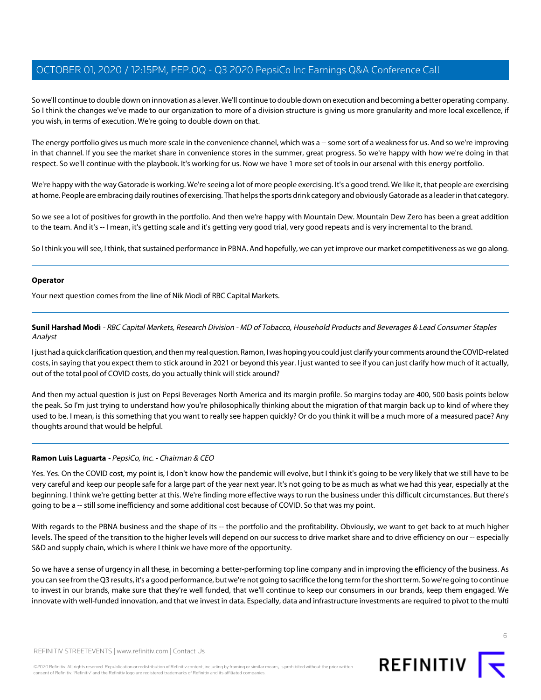So we'll continue to double down on innovation as a lever. We'll continue to double down on execution and becoming a better operating company. So I think the changes we've made to our organization to more of a division structure is giving us more granularity and more local excellence, if you wish, in terms of execution. We're going to double down on that.

The energy portfolio gives us much more scale in the convenience channel, which was a -- some sort of a weakness for us. And so we're improving in that channel. If you see the market share in convenience stores in the summer, great progress. So we're happy with how we're doing in that respect. So we'll continue with the playbook. It's working for us. Now we have 1 more set of tools in our arsenal with this energy portfolio.

We're happy with the way Gatorade is working. We're seeing a lot of more people exercising. It's a good trend. We like it, that people are exercising at home. People are embracing daily routines of exercising. That helps the sports drink category and obviously Gatorade as a leader in that category.

So we see a lot of positives for growth in the portfolio. And then we're happy with Mountain Dew. Mountain Dew Zero has been a great addition to the team. And it's -- I mean, it's getting scale and it's getting very good trial, very good repeats and is very incremental to the brand.

So I think you will see, I think, that sustained performance in PBNA. And hopefully, we can yet improve our market competitiveness as we go along.

#### **Operator**

<span id="page-5-0"></span>Your next question comes from the line of Nik Modi of RBC Capital Markets.

**Sunil Harshad Modi** - RBC Capital Markets, Research Division - MD of Tobacco, Household Products and Beverages & Lead Consumer Staples Analyst

I just had a quick clarification question, and then my real question. Ramon, I was hoping you could just clarify your comments around the COVID-related costs, in saying that you expect them to stick around in 2021 or beyond this year. I just wanted to see if you can just clarify how much of it actually, out of the total pool of COVID costs, do you actually think will stick around?

And then my actual question is just on Pepsi Beverages North America and its margin profile. So margins today are 400, 500 basis points below the peak. So I'm just trying to understand how you're philosophically thinking about the migration of that margin back up to kind of where they used to be. I mean, is this something that you want to really see happen quickly? Or do you think it will be a much more of a measured pace? Any thoughts around that would be helpful.

# **Ramon Luis Laguarta** - PepsiCo, Inc. - Chairman & CEO

Yes. Yes. On the COVID cost, my point is, I don't know how the pandemic will evolve, but I think it's going to be very likely that we still have to be very careful and keep our people safe for a large part of the year next year. It's not going to be as much as what we had this year, especially at the beginning. I think we're getting better at this. We're finding more effective ways to run the business under this difficult circumstances. But there's going to be a -- still some inefficiency and some additional cost because of COVID. So that was my point.

With regards to the PBNA business and the shape of its -- the portfolio and the profitability. Obviously, we want to get back to at much higher levels. The speed of the transition to the higher levels will depend on our success to drive market share and to drive efficiency on our -- especially S&D and supply chain, which is where I think we have more of the opportunity.

So we have a sense of urgency in all these, in becoming a better-performing top line company and in improving the efficiency of the business. As you can see from the Q3 results, it's a good performance, but we're not going to sacrifice the long term for the short term. So we're going to continue to invest in our brands, make sure that they're well funded, that we'll continue to keep our consumers in our brands, keep them engaged. We innovate with well-funded innovation, and that we invest in data. Especially, data and infrastructure investments are required to pivot to the multi

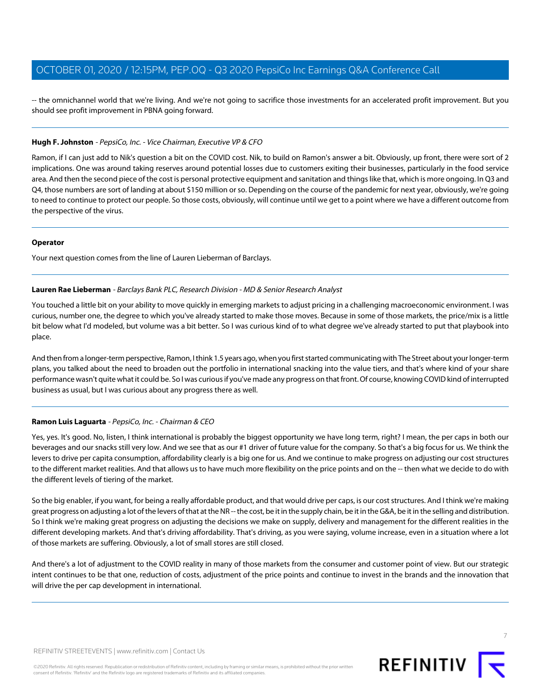-- the omnichannel world that we're living. And we're not going to sacrifice those investments for an accelerated profit improvement. But you should see profit improvement in PBNA going forward.

## **Hugh F. Johnston** - PepsiCo, Inc. - Vice Chairman, Executive VP & CFO

Ramon, if I can just add to Nik's question a bit on the COVID cost. Nik, to build on Ramon's answer a bit. Obviously, up front, there were sort of 2 implications. One was around taking reserves around potential losses due to customers exiting their businesses, particularly in the food service area. And then the second piece of the cost is personal protective equipment and sanitation and things like that, which is more ongoing. In Q3 and Q4, those numbers are sort of landing at about \$150 million or so. Depending on the course of the pandemic for next year, obviously, we're going to need to continue to protect our people. So those costs, obviously, will continue until we get to a point where we have a different outcome from the perspective of the virus.

#### **Operator**

<span id="page-6-0"></span>Your next question comes from the line of Lauren Lieberman of Barclays.

# **Lauren Rae Lieberman** - Barclays Bank PLC, Research Division - MD & Senior Research Analyst

You touched a little bit on your ability to move quickly in emerging markets to adjust pricing in a challenging macroeconomic environment. I was curious, number one, the degree to which you've already started to make those moves. Because in some of those markets, the price/mix is a little bit below what I'd modeled, but volume was a bit better. So I was curious kind of to what degree we've already started to put that playbook into place.

And then from a longer-term perspective, Ramon, I think 1.5 years ago, when you first started communicating with The Street about your longer-term plans, you talked about the need to broaden out the portfolio in international snacking into the value tiers, and that's where kind of your share performance wasn't quite what it could be. So I was curious if you've made any progress on that front. Of course, knowing COVID kind of interrupted business as usual, but I was curious about any progress there as well.

# **Ramon Luis Laguarta** - PepsiCo, Inc. - Chairman & CEO

Yes, yes. It's good. No, listen, I think international is probably the biggest opportunity we have long term, right? I mean, the per caps in both our beverages and our snacks still very low. And we see that as our #1 driver of future value for the company. So that's a big focus for us. We think the levers to drive per capita consumption, affordability clearly is a big one for us. And we continue to make progress on adjusting our cost structures to the different market realities. And that allows us to have much more flexibility on the price points and on the -- then what we decide to do with the different levels of tiering of the market.

So the big enabler, if you want, for being a really affordable product, and that would drive per caps, is our cost structures. And I think we're making great progress on adjusting a lot of the levers of that at the NR -- the cost, be it in the supply chain, be it in the G&A, be it in the selling and distribution. So I think we're making great progress on adjusting the decisions we make on supply, delivery and management for the different realities in the different developing markets. And that's driving affordability. That's driving, as you were saying, volume increase, even in a situation where a lot of those markets are suffering. Obviously, a lot of small stores are still closed.

And there's a lot of adjustment to the COVID reality in many of those markets from the consumer and customer point of view. But our strategic intent continues to be that one, reduction of costs, adjustment of the price points and continue to invest in the brands and the innovation that will drive the per cap development in international.

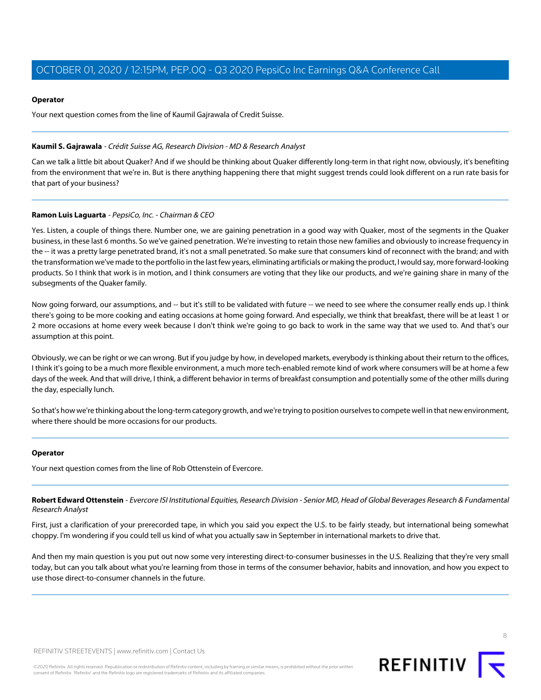## **Operator**

Your next question comes from the line of Kaumil Gajrawala of Credit Suisse.

## <span id="page-7-0"></span>**Kaumil S. Gajrawala** - Crédit Suisse AG, Research Division - MD & Research Analyst

Can we talk a little bit about Quaker? And if we should be thinking about Quaker differently long-term in that right now, obviously, it's benefiting from the environment that we're in. But is there anything happening there that might suggest trends could look different on a run rate basis for that part of your business?

# **Ramon Luis Laguarta** - PepsiCo, Inc. - Chairman & CEO

Yes. Listen, a couple of things there. Number one, we are gaining penetration in a good way with Quaker, most of the segments in the Quaker business, in these last 6 months. So we've gained penetration. We're investing to retain those new families and obviously to increase frequency in the -- it was a pretty large penetrated brand, it's not a small penetrated. So make sure that consumers kind of reconnect with the brand; and with the transformation we've made to the portfolio in the last few years, eliminating artificials or making the product, I would say, more forward-looking products. So I think that work is in motion, and I think consumers are voting that they like our products, and we're gaining share in many of the subsegments of the Quaker family.

Now going forward, our assumptions, and -- but it's still to be validated with future -- we need to see where the consumer really ends up. I think there's going to be more cooking and eating occasions at home going forward. And especially, we think that breakfast, there will be at least 1 or 2 more occasions at home every week because I don't think we're going to go back to work in the same way that we used to. And that's our assumption at this point.

Obviously, we can be right or we can wrong. But if you judge by how, in developed markets, everybody is thinking about their return to the offices, I think it's going to be a much more flexible environment, a much more tech-enabled remote kind of work where consumers will be at home a few days of the week. And that will drive, I think, a different behavior in terms of breakfast consumption and potentially some of the other mills during the day, especially lunch.

So that's how we're thinking about the long-term category growth, and we're trying to position ourselves to compete well in that new environment, where there should be more occasions for our products.

#### <span id="page-7-1"></span>**Operator**

Your next question comes from the line of Rob Ottenstein of Evercore.

**Robert Edward Ottenstein** - Evercore ISI Institutional Equities, Research Division - Senior MD, Head of Global Beverages Research & Fundamental Research Analyst

First, just a clarification of your prerecorded tape, in which you said you expect the U.S. to be fairly steady, but international being somewhat choppy. I'm wondering if you could tell us kind of what you actually saw in September in international markets to drive that.

And then my main question is you put out now some very interesting direct-to-consumer businesses in the U.S. Realizing that they're very small today, but can you talk about what you're learning from those in terms of the consumer behavior, habits and innovation, and how you expect to use those direct-to-consumer channels in the future.

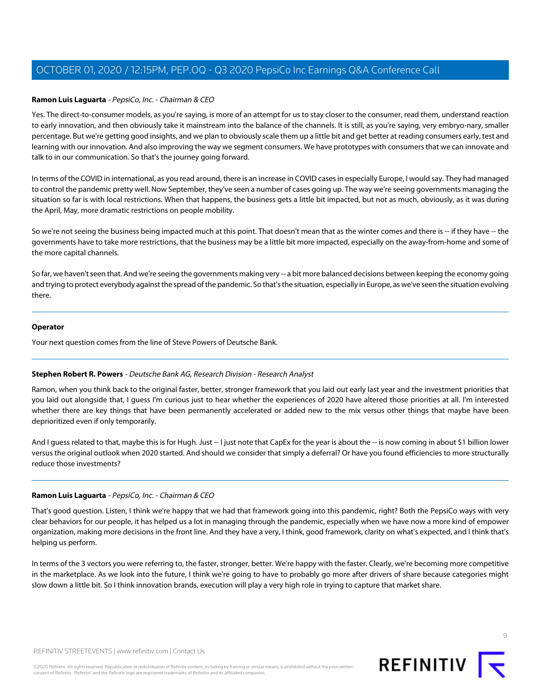## **Ramon Luis Laguarta** - PepsiCo, Inc. - Chairman & CEO

Yes. The direct-to-consumer models, as you're saying, is more of an attempt for us to stay closer to the consumer, read them, understand reaction to early innovation, and then obviously take it mainstream into the balance of the channels. It is still, as you're saying, very embryo-nary, smaller percentage. But we're getting good insights, and we plan to obviously scale them up a little bit and get better at reading consumers early, test and learning with our innovation. And also improving the way we segment consumers. We have prototypes with consumers that we can innovate and talk to in our communication. So that's the journey going forward.

In terms of the COVID in international, as you read around, there is an increase in COVID cases in especially Europe, I would say. They had managed to control the pandemic pretty well. Now September, they've seen a number of cases going up. The way we're seeing governments managing the situation so far is with local restrictions. When that happens, the business gets a little bit impacted, but not as much, obviously, as it was during the April, May, more dramatic restrictions on people mobility.

So we're not seeing the business being impacted much at this point. That doesn't mean that as the winter comes and there is -- if they have -- the governments have to take more restrictions, that the business may be a little bit more impacted, especially on the away-from-home and some of the more capital channels.

So far, we haven't seen that. And we're seeing the governments making very -- a bit more balanced decisions between keeping the economy going and trying to protect everybody against the spread of the pandemic. So that's the situation, especially in Europe, as we've seen the situation evolving there.

#### **Operator**

<span id="page-8-0"></span>Your next question comes from the line of Steve Powers of Deutsche Bank.

# **Stephen Robert R. Powers** - Deutsche Bank AG, Research Division - Research Analyst

Ramon, when you think back to the original faster, better, stronger framework that you laid out early last year and the investment priorities that you laid out alongside that, I guess I'm curious just to hear whether the experiences of 2020 have altered those priorities at all. I'm interested whether there are key things that have been permanently accelerated or added new to the mix versus other things that maybe have been deprioritized even if only temporarily.

And I guess related to that, maybe this is for Hugh. Just -- I just note that CapEx for the year is about the -- is now coming in about \$1 billion lower versus the original outlook when 2020 started. And should we consider that simply a deferral? Or have you found efficiencies to more structurally reduce those investments?

#### **Ramon Luis Laguarta** - PepsiCo, Inc. - Chairman & CEO

That's good question. Listen, I think we're happy that we had that framework going into this pandemic, right? Both the PepsiCo ways with very clear behaviors for our people, it has helped us a lot in managing through the pandemic, especially when we have now a more kind of empower organization, making more decisions in the front line. And they have a very, I think, good framework, clarity on what's expected, and I think that's helping us perform.

In terms of the 3 vectors you were referring to, the faster, stronger, better. We're happy with the faster. Clearly, we're becoming more competitive in the marketplace. As we look into the future, I think we're going to have to probably go more after drivers of share because categories might slow down a little bit. So I think innovation brands, execution will play a very high role in trying to capture that market share.

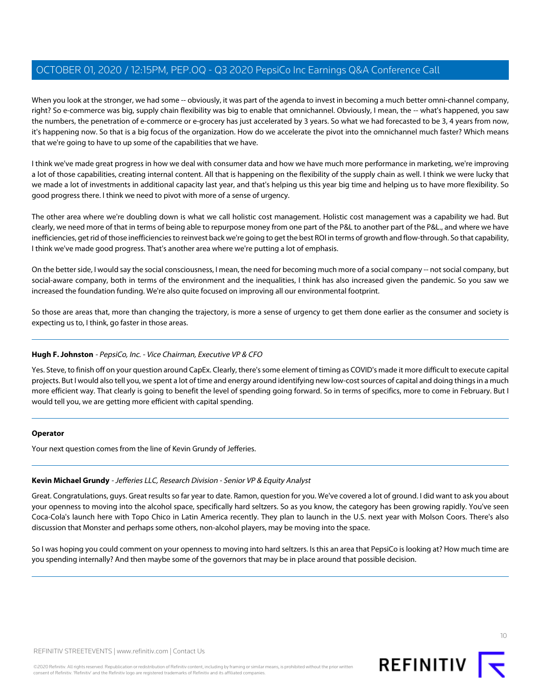When you look at the stronger, we had some -- obviously, it was part of the agenda to invest in becoming a much better omni-channel company, right? So e-commerce was big, supply chain flexibility was big to enable that omnichannel. Obviously, I mean, the -- what's happened, you saw the numbers, the penetration of e-commerce or e-grocery has just accelerated by 3 years. So what we had forecasted to be 3, 4 years from now, it's happening now. So that is a big focus of the organization. How do we accelerate the pivot into the omnichannel much faster? Which means that we're going to have to up some of the capabilities that we have.

I think we've made great progress in how we deal with consumer data and how we have much more performance in marketing, we're improving a lot of those capabilities, creating internal content. All that is happening on the flexibility of the supply chain as well. I think we were lucky that we made a lot of investments in additional capacity last year, and that's helping us this year big time and helping us to have more flexibility. So good progress there. I think we need to pivot with more of a sense of urgency.

The other area where we're doubling down is what we call holistic cost management. Holistic cost management was a capability we had. But clearly, we need more of that in terms of being able to repurpose money from one part of the P&L to another part of the P&L., and where we have inefficiencies, get rid of those inefficiencies to reinvest back we're going to get the best ROI in terms of growth and flow-through. So that capability, I think we've made good progress. That's another area where we're putting a lot of emphasis.

On the better side, I would say the social consciousness, I mean, the need for becoming much more of a social company -- not social company, but social-aware company, both in terms of the environment and the inequalities, I think has also increased given the pandemic. So you saw we increased the foundation funding. We're also quite focused on improving all our environmental footprint.

So those are areas that, more than changing the trajectory, is more a sense of urgency to get them done earlier as the consumer and society is expecting us to, I think, go faster in those areas.

# **Hugh F. Johnston** - PepsiCo, Inc. - Vice Chairman, Executive VP & CFO

Yes. Steve, to finish off on your question around CapEx. Clearly, there's some element of timing as COVID's made it more difficult to execute capital projects. But I would also tell you, we spent a lot of time and energy around identifying new low-cost sources of capital and doing things in a much more efficient way. That clearly is going to benefit the level of spending going forward. So in terms of specifics, more to come in February. But I would tell you, we are getting more efficient with capital spending.

# <span id="page-9-0"></span>**Operator**

Your next question comes from the line of Kevin Grundy of Jefferies.

# **Kevin Michael Grundy** - Jefferies LLC, Research Division - Senior VP & Equity Analyst

Great. Congratulations, guys. Great results so far year to date. Ramon, question for you. We've covered a lot of ground. I did want to ask you about your openness to moving into the alcohol space, specifically hard seltzers. So as you know, the category has been growing rapidly. You've seen Coca-Cola's launch here with Topo Chico in Latin America recently. They plan to launch in the U.S. next year with Molson Coors. There's also discussion that Monster and perhaps some others, non-alcohol players, may be moving into the space.

So I was hoping you could comment on your openness to moving into hard seltzers. Is this an area that PepsiCo is looking at? How much time are you spending internally? And then maybe some of the governors that may be in place around that possible decision.

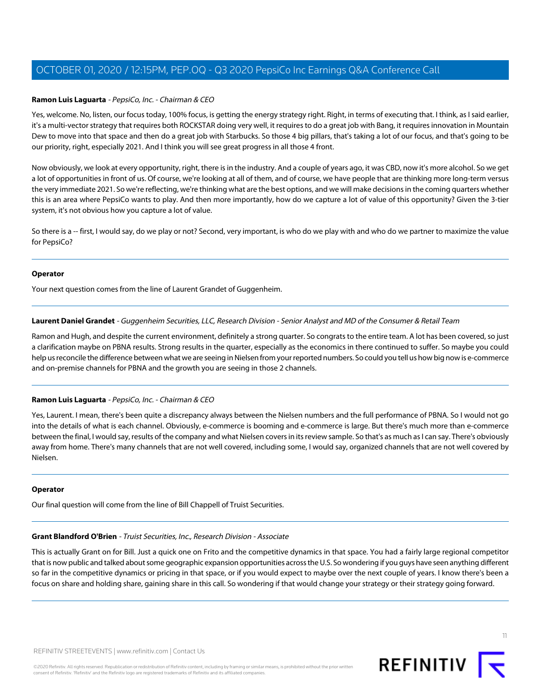## **Ramon Luis Laguarta** - PepsiCo, Inc. - Chairman & CEO

Yes, welcome. No, listen, our focus today, 100% focus, is getting the energy strategy right. Right, in terms of executing that. I think, as I said earlier, it's a multi-vector strategy that requires both ROCKSTAR doing very well, it requires to do a great job with Bang, it requires innovation in Mountain Dew to move into that space and then do a great job with Starbucks. So those 4 big pillars, that's taking a lot of our focus, and that's going to be our priority, right, especially 2021. And I think you will see great progress in all those 4 front.

Now obviously, we look at every opportunity, right, there is in the industry. And a couple of years ago, it was CBD, now it's more alcohol. So we get a lot of opportunities in front of us. Of course, we're looking at all of them, and of course, we have people that are thinking more long-term versus the very immediate 2021. So we're reflecting, we're thinking what are the best options, and we will make decisions in the coming quarters whether this is an area where PepsiCo wants to play. And then more importantly, how do we capture a lot of value of this opportunity? Given the 3-tier system, it's not obvious how you capture a lot of value.

So there is a -- first, I would say, do we play or not? Second, very important, is who do we play with and who do we partner to maximize the value for PepsiCo?

#### **Operator**

<span id="page-10-1"></span>Your next question comes from the line of Laurent Grandet of Guggenheim.

#### **Laurent Daniel Grandet** - Guggenheim Securities, LLC, Research Division - Senior Analyst and MD of the Consumer & Retail Team

Ramon and Hugh, and despite the current environment, definitely a strong quarter. So congrats to the entire team. A lot has been covered, so just a clarification maybe on PBNA results. Strong results in the quarter, especially as the economics in there continued to suffer. So maybe you could help us reconcile the difference between what we are seeing in Nielsen from your reported numbers. So could you tell us how big now is e-commerce and on-premise channels for PBNA and the growth you are seeing in those 2 channels.

#### **Ramon Luis Laguarta** - PepsiCo, Inc. - Chairman & CEO

Yes, Laurent. I mean, there's been quite a discrepancy always between the Nielsen numbers and the full performance of PBNA. So I would not go into the details of what is each channel. Obviously, e-commerce is booming and e-commerce is large. But there's much more than e-commerce between the final, I would say, results of the company and what Nielsen covers in its review sample. So that's as much as I can say. There's obviously away from home. There's many channels that are not well covered, including some, I would say, organized channels that are not well covered by Nielsen.

#### <span id="page-10-0"></span>**Operator**

Our final question will come from the line of Bill Chappell of Truist Securities.

#### **Grant Blandford O'Brien** - Truist Securities, Inc., Research Division - Associate

This is actually Grant on for Bill. Just a quick one on Frito and the competitive dynamics in that space. You had a fairly large regional competitor that is now public and talked about some geographic expansion opportunities across the U.S. So wondering if you guys have seen anything different so far in the competitive dynamics or pricing in that space, or if you would expect to maybe over the next couple of years. I know there's been a focus on share and holding share, gaining share in this call. So wondering if that would change your strategy or their strategy going forward.